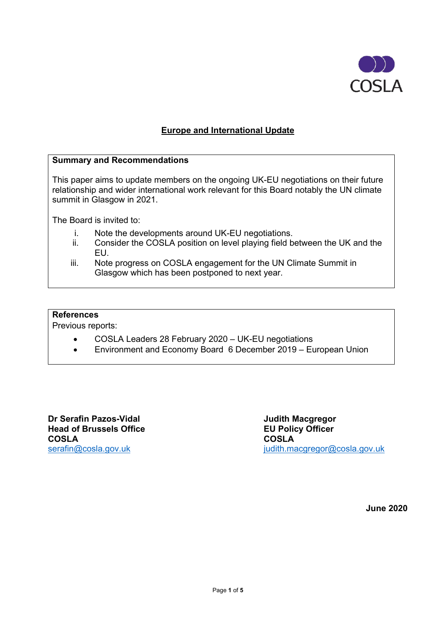

## **Europe and International Update**

#### **Summary and Recommendations**

This paper aims to update members on the ongoing UK-EU negotiations on their future relationship and wider international work relevant for this Board notably the UN climate summit in Glasgow in 2021.

The Board is invited to:

- i. Note the developments around UK-EU negotiations.<br>ii. Consider the COSLA position on level plaving field b
- Consider the COSLA position on level playing field between the UK and the EU.
- iii. Note progress on COSLA engagement for the UN Climate Summit in Glasgow which has been postponed to next year.

#### **References**

Previous reports:

- COSLA Leaders 28 February 2020 UK-EU negotiations
- Environment and Economy Board 6 December 2019 European Union

**Dr Serafin Pazos-Vidal Judith Macgregor Head of Brussels Office EU Policy Officer COSLA COSLA**

[serafin@cosla.gov.uk](mailto:serafin@cosla.gov.uk) in the interval of the intervals of intervals in the intervals of the intervals in the intervals of the intervals in the intervals of the intervals of the intervals of the intervals of the intervals of

**June 2020**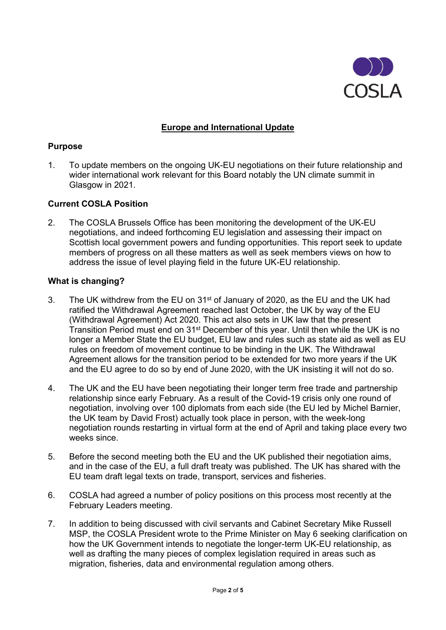

## **Europe and International Update**

### **Purpose**

1. To update members on the ongoing UK-EU negotiations on their future relationship and wider international work relevant for this Board notably the UN climate summit in Glasgow in 2021.

### **Current COSLA Position**

2. The COSLA Brussels Office has been monitoring the development of the UK-EU negotiations, and indeed forthcoming EU legislation and assessing their impact on Scottish local government powers and funding opportunities. This report seek to update members of progress on all these matters as well as seek members views on how to address the issue of level playing field in the future UK-EU relationship.

### **What is changing?**

- 3. The UK withdrew from the EU on 31st of January of 2020, as the EU and the UK had ratified the Withdrawal Agreement reached last October, the UK by way of the EU (Withdrawal Agreement) Act 2020. This act also sets in UK law that the present Transition Period must end on 31st December of this year. Until then while the UK is no longer a Member State the EU budget, EU law and rules such as state aid as well as EU rules on freedom of movement continue to be binding in the UK. The Withdrawal Agreement allows for the transition period to be extended for two more years if the UK and the EU agree to do so by end of June 2020, with the UK insisting it will not do so.
- 4. The UK and the EU have been negotiating their longer term free trade and partnership relationship since early February. As a result of the Covid-19 crisis only one round of negotiation, involving over 100 diplomats from each side (the EU led by Michel Barnier, the UK team by David Frost) actually took place in person, with the week-long negotiation rounds restarting in virtual form at the end of April and taking place every two weeks since.
- 5. Before the second meeting both the EU and the UK published their negotiation aims, and in the case of the EU, a full draft treaty was published. The UK has shared with the EU team draft legal texts on trade, transport, services and fisheries.
- 6. COSLA had agreed a number of policy positions on this process most recently at the February Leaders meeting.
- 7. In addition to being discussed with civil servants and Cabinet Secretary Mike Russell MSP, the COSLA President wrote to the Prime Minister on May 6 seeking clarification on how the UK Government intends to negotiate the longer-term UK-EU relationship, as well as drafting the many pieces of complex legislation required in areas such as migration, fisheries, data and environmental regulation among others.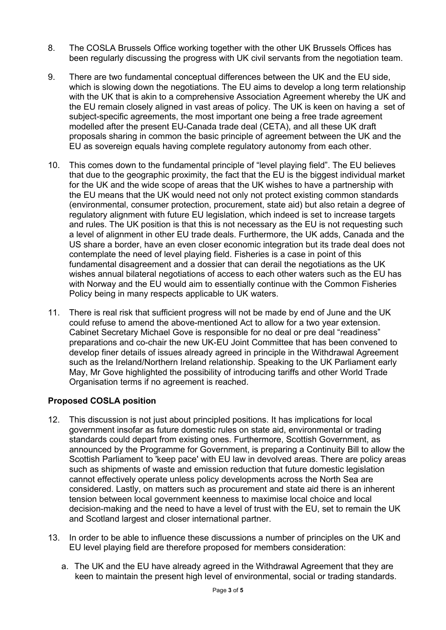- 8. The COSLA Brussels Office working together with the other UK Brussels Offices has been regularly discussing the progress with UK civil servants from the negotiation team.
- 9. There are two fundamental conceptual differences between the UK and the EU side, which is slowing down the negotiations. The EU aims to develop a long term relationship with the UK that is akin to a comprehensive Association Agreement whereby the UK and the EU remain closely aligned in vast areas of policy. The UK is keen on having a set of subject-specific agreements, the most important one being a free trade agreement modelled after the present EU-Canada trade deal (CETA), and all these UK draft proposals sharing in common the basic principle of agreement between the UK and the EU as sovereign equals having complete regulatory autonomy from each other.
- 10. This comes down to the fundamental principle of "level playing field". The EU believes that due to the geographic proximity, the fact that the EU is the biggest individual market for the UK and the wide scope of areas that the UK wishes to have a partnership with the EU means that the UK would need not only not protect existing common standards (environmental, consumer protection, procurement, state aid) but also retain a degree of regulatory alignment with future EU legislation, which indeed is set to increase targets and rules. The UK position is that this is not necessary as the EU is not requesting such a level of alignment in other EU trade deals. Furthermore, the UK adds, Canada and the US share a border, have an even closer economic integration but its trade deal does not contemplate the need of level playing field. Fisheries is a case in point of this fundamental disagreement and a dossier that can derail the negotiations as the UK wishes annual bilateral negotiations of access to each other waters such as the EU has with Norway and the EU would aim to essentially continue with the Common Fisheries Policy being in many respects applicable to UK waters.
- 11. There is real risk that sufficient progress will not be made by end of June and the UK could refuse to amend the above-mentioned Act to allow for a two year extension. Cabinet Secretary Michael Gove is responsible for no deal or pre deal "readiness" preparations and co-chair the new UK-EU Joint Committee that has been convened to develop finer details of issues already agreed in principle in the Withdrawal Agreement such as the Ireland/Northern Ireland relationship. Speaking to the UK Parliament early May, Mr Gove highlighted the possibility of introducing tariffs and other World Trade Organisation terms if no agreement is reached.

## **Proposed COSLA position**

- 12. This discussion is not just about principled positions. It has implications for local government insofar as future domestic rules on state aid, environmental or trading standards could depart from existing ones. Furthermore, Scottish Government, as announced by the Programme for Government, is preparing a Continuity Bill to allow the Scottish Parliament to 'keep pace' with EU law in devolved areas. There are policy areas such as shipments of waste and emission reduction that future domestic legislation cannot effectively operate unless policy developments across the North Sea are considered. Lastly, on matters such as procurement and state aid there is an inherent tension between local government keenness to maximise local choice and local decision-making and the need to have a level of trust with the EU, set to remain the UK and Scotland largest and closer international partner.
- 13. In order to be able to influence these discussions a number of principles on the UK and EU level playing field are therefore proposed for members consideration:
	- a. The UK and the EU have already agreed in the Withdrawal Agreement that they are keen to maintain the present high level of environmental, social or trading standards.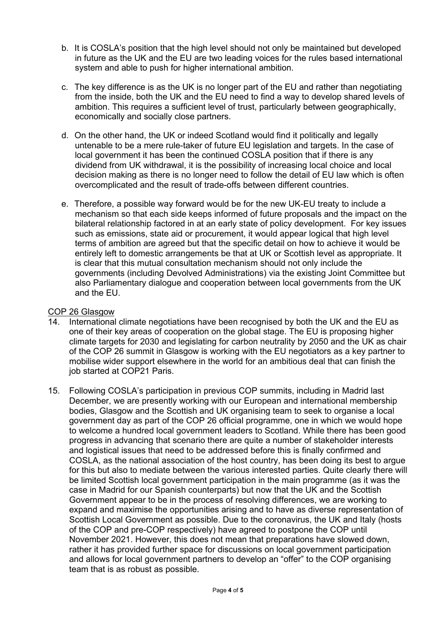- b. It is COSLA's position that the high level should not only be maintained but developed in future as the UK and the EU are two leading voices for the rules based international system and able to push for higher international ambition.
- c. The key difference is as the UK is no longer part of the EU and rather than negotiating from the inside, both the UK and the EU need to find a way to develop shared levels of ambition. This requires a sufficient level of trust, particularly between geographically, economically and socially close partners.
- d. On the other hand, the UK or indeed Scotland would find it politically and legally untenable to be a mere rule-taker of future EU legislation and targets. In the case of local government it has been the continued COSLA position that if there is any dividend from UK withdrawal, it is the possibility of increasing local choice and local decision making as there is no longer need to follow the detail of EU law which is often overcomplicated and the result of trade-offs between different countries.
- e. Therefore, a possible way forward would be for the new UK-EU treaty to include a mechanism so that each side keeps informed of future proposals and the impact on the bilateral relationship factored in at an early state of policy development. For key issues such as emissions, state aid or procurement, it would appear logical that high level terms of ambition are agreed but that the specific detail on how to achieve it would be entirely left to domestic arrangements be that at UK or Scottish level as appropriate. It is clear that this mutual consultation mechanism should not only include the governments (including Devolved Administrations) via the existing Joint Committee but also Parliamentary dialogue and cooperation between local governments from the UK and the EU.

## COP 26 Glasgow

- 14. International climate negotiations have been recognised by both the UK and the EU as one of their key areas of cooperation on the global stage. The EU is proposing higher climate targets for 2030 and legislating for carbon neutrality by 2050 and the UK as chair of the COP 26 summit in Glasgow is working with the EU negotiators as a key partner to mobilise wider support elsewhere in the world for an ambitious deal that can finish the job started at COP21 Paris.
- 15. Following COSLA's participation in previous COP summits, including in Madrid last December, we are presently working with our European and international membership bodies, Glasgow and the Scottish and UK organising team to seek to organise a local government day as part of the COP 26 official programme, one in which we would hope to welcome a hundred local government leaders to Scotland. While there has been good progress in advancing that scenario there are quite a number of stakeholder interests and logistical issues that need to be addressed before this is finally confirmed and COSLA, as the national association of the host country, has been doing its best to argue for this but also to mediate between the various interested parties. Quite clearly there will be limited Scottish local government participation in the main programme (as it was the case in Madrid for our Spanish counterparts) but now that the UK and the Scottish Government appear to be in the process of resolving differences, we are working to expand and maximise the opportunities arising and to have as diverse representation of Scottish Local Government as possible. Due to the coronavirus, the UK and Italy (hosts of the COP and pre-COP respectively) have agreed to postpone the COP until November 2021. However, this does not mean that preparations have slowed down, rather it has provided further space for discussions on local government participation and allows for local government partners to develop an "offer" to the COP organising team that is as robust as possible.